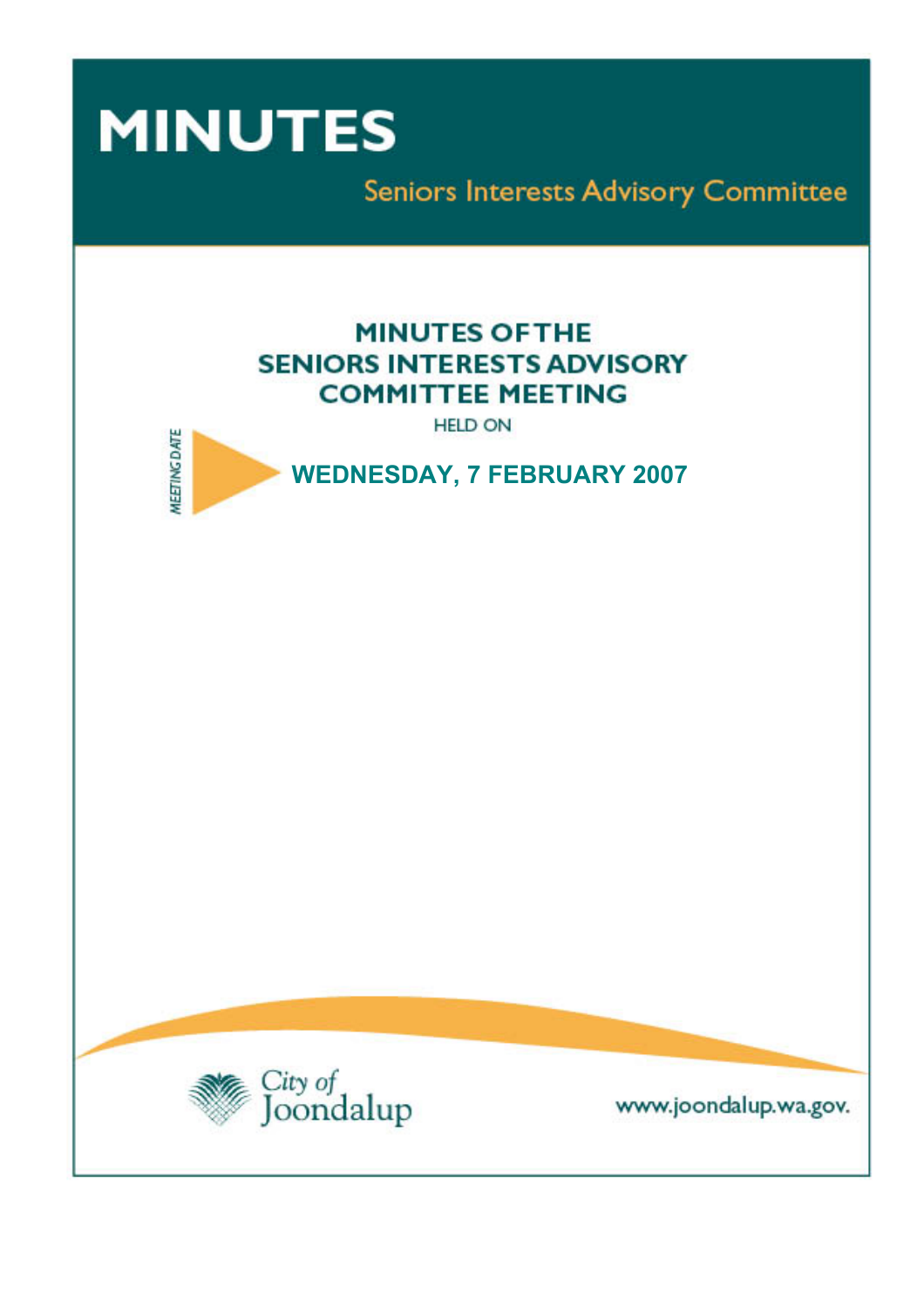

**Seniors Interests Advisory Committee** 

# **MINUTES OF THE SENIORS INTERESTS ADVISORY COMMITTEE MEETING HELD ON**





www.joondalup.wa.gov.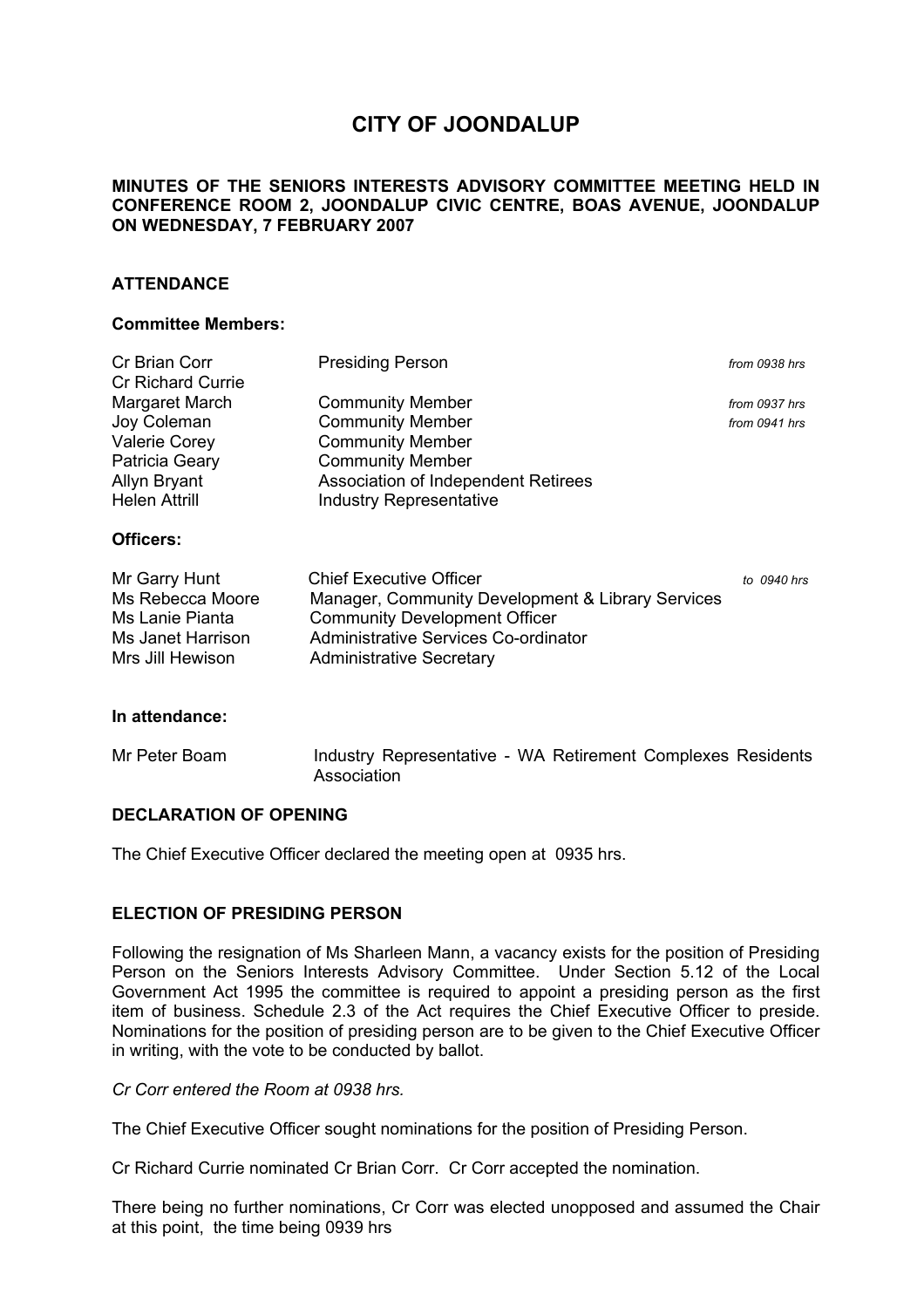# **CITY OF JOONDALUP**

# **MINUTES OF THE SENIORS INTERESTS ADVISORY COMMITTEE MEETING HELD IN CONFERENCE ROOM 2, JOONDALUP CIVIC CENTRE, BOAS AVENUE, JOONDALUP ON WEDNESDAY, 7 FEBRUARY 2007**

# **ATTENDANCE**

#### **Committee Members:**

| Cr Brian Corr<br><b>Cr Richard Currie</b> | <b>Presiding Person</b>                           | from 0938 hrs |
|-------------------------------------------|---------------------------------------------------|---------------|
| Margaret March                            | <b>Community Member</b>                           | from 0937 hrs |
| Joy Coleman                               | <b>Community Member</b>                           | from 0941 hrs |
| <b>Valerie Corey</b>                      | <b>Community Member</b>                           |               |
| Patricia Geary                            | <b>Community Member</b>                           |               |
| Allyn Bryant                              | Association of Independent Retirees               |               |
| <b>Helen Attrill</b>                      | <b>Industry Representative</b>                    |               |
| <b>Officers:</b>                          |                                                   |               |
| Mr Garry Hunt                             | <b>Chief Executive Officer</b>                    | to 0940 hrs   |
| Ms Rebecca Moore                          | Manager, Community Development & Library Services |               |
| Ms Lanie Pianta                           | <b>Community Development Officer</b>              |               |
| Ms Janet Harrison                         | Administrative Services Co-ordinator              |               |
| Mrs Jill Hewison                          | <b>Administrative Secretary</b>                   |               |

#### **In attendance:**

| Mr Peter Boam | Industry Representative - WA Retirement Complexes Residents |  |  |
|---------------|-------------------------------------------------------------|--|--|
|               | Association                                                 |  |  |

#### **DECLARATION OF OPENING**

The Chief Executive Officer declared the meeting open at 0935 hrs.

## **ELECTION OF PRESIDING PERSON**

Following the resignation of Ms Sharleen Mann, a vacancy exists for the position of Presiding Person on the Seniors Interests Advisory Committee. Under Section 5.12 of the Local Government Act 1995 the committee is required to appoint a presiding person as the first item of business. Schedule 2.3 of the Act requires the Chief Executive Officer to preside. Nominations for the position of presiding person are to be given to the Chief Executive Officer in writing, with the vote to be conducted by ballot.

*Cr Corr entered the Room at 0938 hrs.* 

The Chief Executive Officer sought nominations for the position of Presiding Person.

Cr Richard Currie nominated Cr Brian Corr. Cr Corr accepted the nomination.

There being no further nominations, Cr Corr was elected unopposed and assumed the Chair at this point, the time being 0939 hrs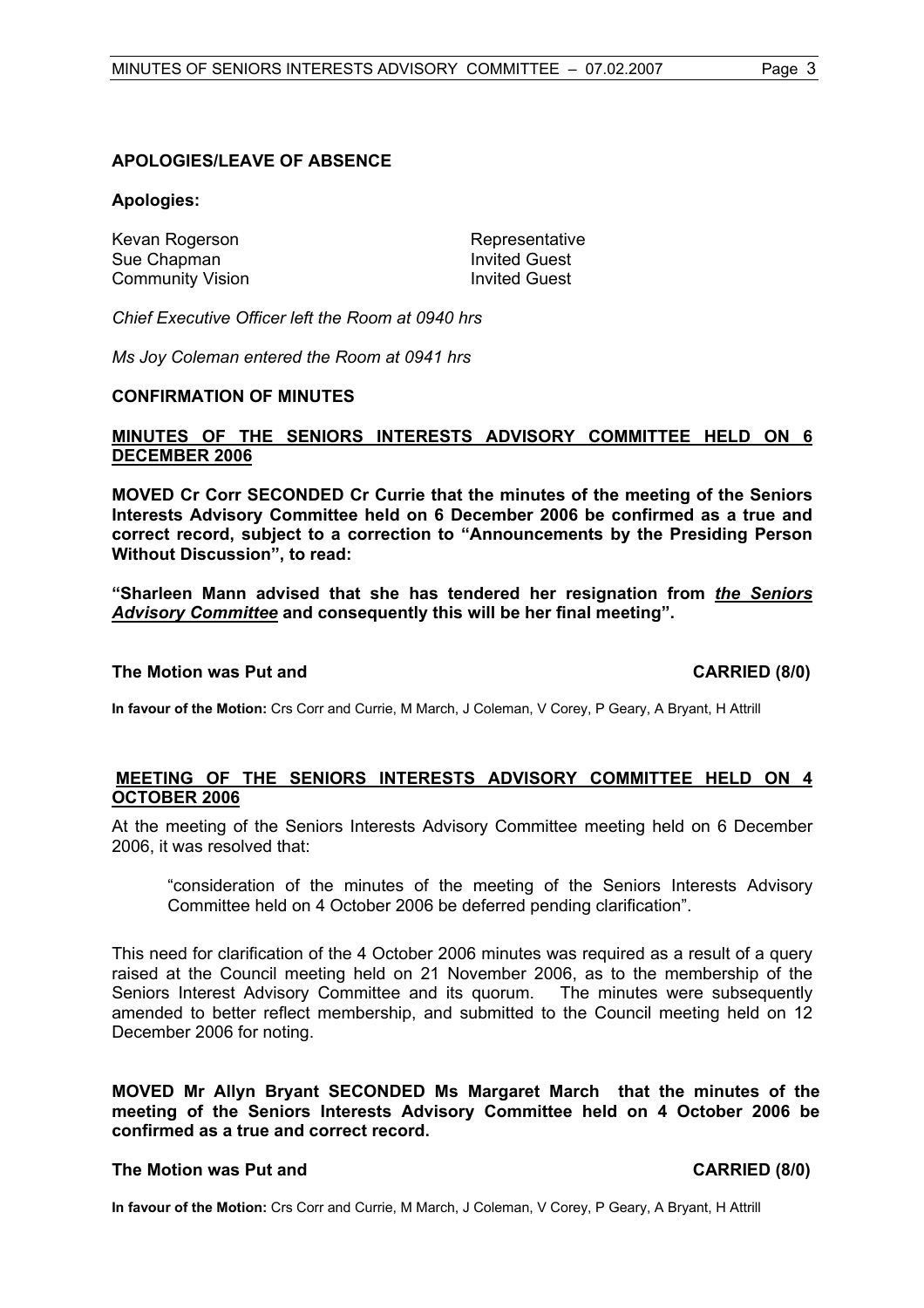# **APOLOGIES/LEAVE OF ABSENCE**

#### **Apologies:**

| Kevan Rogerson          | Representative       |
|-------------------------|----------------------|
| Sue Chapman             | <b>Invited Guest</b> |
| <b>Community Vision</b> | <b>Invited Guest</b> |

*Chief Executive Officer left the Room at 0940 hrs* 

*Ms Joy Coleman entered the Room at 0941 hrs* 

#### **CONFIRMATION OF MINUTES**

# **MINUTES OF THE SENIORS INTERESTS ADVISORY COMMITTEE HELD ON 6 DECEMBER 2006**

**MOVED Cr Corr SECONDED Cr Currie that the minutes of the meeting of the Seniors Interests Advisory Committee held on 6 December 2006 be confirmed as a true and correct record, subject to a correction to "Announcements by the Presiding Person Without Discussion", to read:** 

**"Sharleen Mann advised that she has tendered her resignation from** *the Seniors Advisory Committee* **and consequently this will be her final meeting".** 

#### **The Motion was Put and CARRIED (8/0)**

**In favour of the Motion:** Crs Corr and Currie, M March, J Coleman, V Corey, P Geary, A Bryant, H Attrill

## **MEETING OF THE SENIORS INTERESTS ADVISORY COMMITTEE HELD ON 4 OCTOBER 2006**

At the meeting of the Seniors Interests Advisory Committee meeting held on 6 December 2006, it was resolved that:

"consideration of the minutes of the meeting of the Seniors Interests Advisory Committee held on 4 October 2006 be deferred pending clarification".

This need for clarification of the 4 October 2006 minutes was required as a result of a query raised at the Council meeting held on 21 November 2006, as to the membership of the Seniors Interest Advisory Committee and its quorum. The minutes were subsequently amended to better reflect membership, and submitted to the Council meeting held on 12 December 2006 for noting.

**MOVED Mr Allyn Bryant SECONDED Ms Margaret March that the minutes of the meeting of the Seniors Interests Advisory Committee held on 4 October 2006 be confirmed as a true and correct record.** 

# **The Motion was Put and CARRIED (8/0)**

**In favour of the Motion:** Crs Corr and Currie, M March, J Coleman, V Corey, P Geary, A Bryant, H Attrill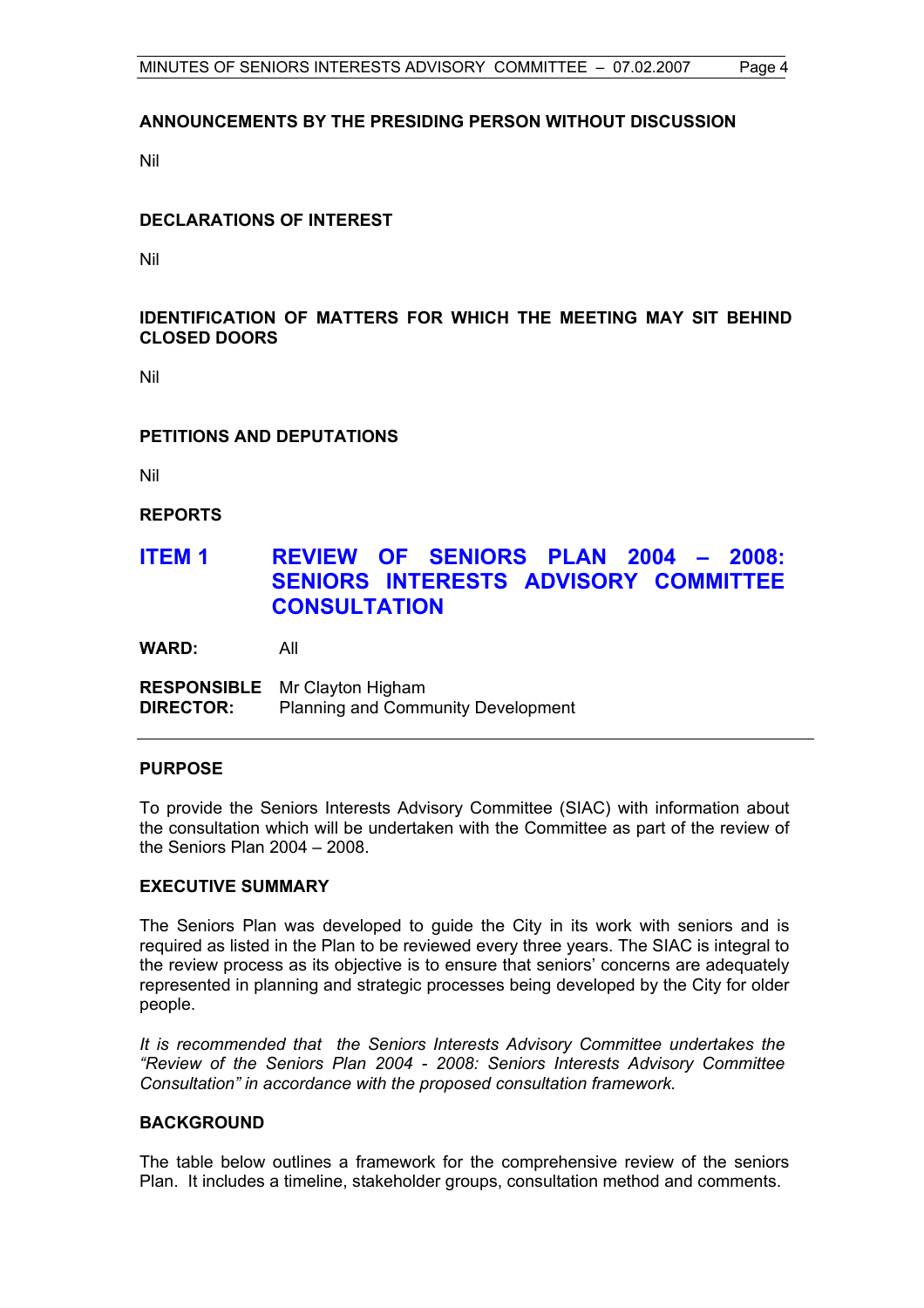# **ANNOUNCEMENTS BY THE PRESIDING PERSON WITHOUT DISCUSSION**

Nil

# **DECLARATIONS OF INTEREST**

Nil

# **IDENTIFICATION OF MATTERS FOR WHICH THE MEETING MAY SIT BEHIND CLOSED DOORS**

Nil

# **PETITIONS AND DEPUTATIONS**

Nil

**REPORTS** 

# **ITEM 1 REVIEW OF SENIORS PLAN 2004 – 2008: SENIORS INTERESTS ADVISORY COMMITTEE CONSULTATION**

**WARD:** All

**RESPONSIBLE** Mr Clayton Higham **DIRECTOR:** Planning and Community Development

#### **PURPOSE**

To provide the Seniors Interests Advisory Committee (SIAC) with information about the consultation which will be undertaken with the Committee as part of the review of the Seniors Plan 2004 – 2008.

#### **EXECUTIVE SUMMARY**

The Seniors Plan was developed to guide the City in its work with seniors and is required as listed in the Plan to be reviewed every three years. The SIAC is integral to the review process as its objective is to ensure that seniors' concerns are adequately represented in planning and strategic processes being developed by the City for older people.

*It is recommended that the Seniors Interests Advisory Committee undertakes the "Review of the Seniors Plan 2004 - 2008: Seniors Interests Advisory Committee Consultation" in accordance with the proposed consultation framework.* 

# **BACKGROUND**

The table below outlines a framework for the comprehensive review of the seniors Plan. It includes a timeline, stakeholder groups, consultation method and comments.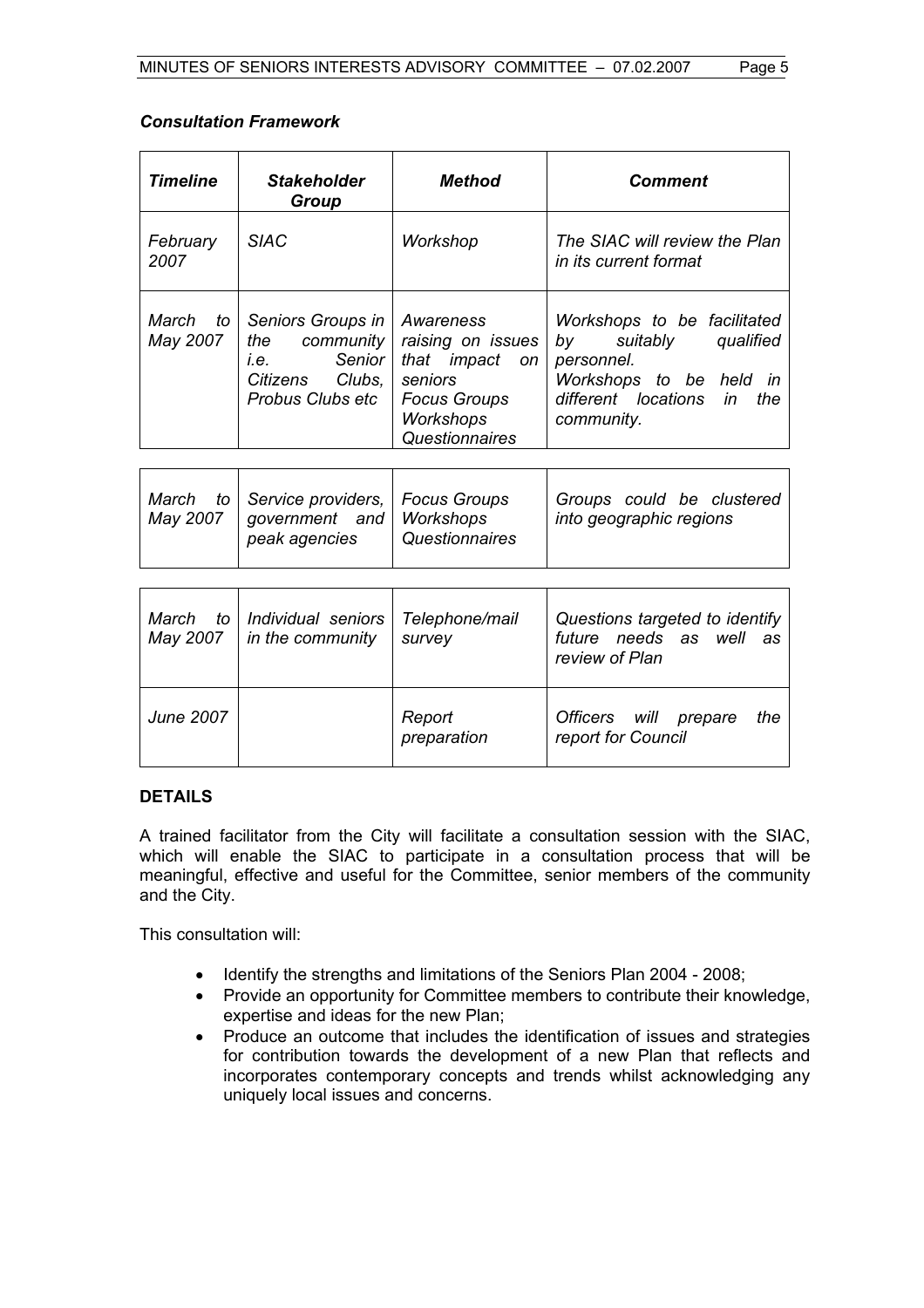# *Consultation Framework*

| <b>Timeline</b>      | <b>Stakeholder</b><br>Group                                                                    | <b>Method</b>                                                                                                               | <b>Comment</b>                                                                                                                                               |
|----------------------|------------------------------------------------------------------------------------------------|-----------------------------------------------------------------------------------------------------------------------------|--------------------------------------------------------------------------------------------------------------------------------------------------------------|
| February<br>2007     | <b>SIAC</b>                                                                                    | Workshop                                                                                                                    | The SIAC will review the Plan<br>in its current format                                                                                                       |
| March to<br>May 2007 | Seniors Groups in<br>the community<br>Senior<br>i.e.<br>Citizens<br>Clubs.<br>Probus Clubs etc | Awareness<br>raising on issues<br>that impact<br>on<br>seniors<br><b>Focus Groups</b><br><b>Workshops</b><br>Questionnaires | Workshops to be facilitated<br>qualified<br>suitably<br>by<br>personnel.<br>Workshops to be held<br><i>in</i><br>different locations in<br>the<br>community. |

| Groups could be clustered<br>May 2007   government and   Workshops<br>into geographic regions<br>Questionnaires<br>peak agencies | March to Service providers, Focus Groups |
|----------------------------------------------------------------------------------------------------------------------------------|------------------------------------------|
|----------------------------------------------------------------------------------------------------------------------------------|------------------------------------------|

| March<br>to<br>May 2007 | Individual seniors<br>in the community | Telephone/mail<br>survey | Questions targeted to identify<br>future needs as well as<br>review of Plan |
|-------------------------|----------------------------------------|--------------------------|-----------------------------------------------------------------------------|
| <b>June 2007</b>        |                                        | Report<br>preparation    | will prepare<br>the<br>Officers<br>report for Council                       |

# **DETAILS**

A trained facilitator from the City will facilitate a consultation session with the SIAC, which will enable the SIAC to participate in a consultation process that will be meaningful, effective and useful for the Committee, senior members of the community and the City.

This consultation will:

- Identify the strengths and limitations of the Seniors Plan 2004 2008;
- Provide an opportunity for Committee members to contribute their knowledge, expertise and ideas for the new Plan;
- Produce an outcome that includes the identification of issues and strategies for contribution towards the development of a new Plan that reflects and incorporates contemporary concepts and trends whilst acknowledging any uniquely local issues and concerns.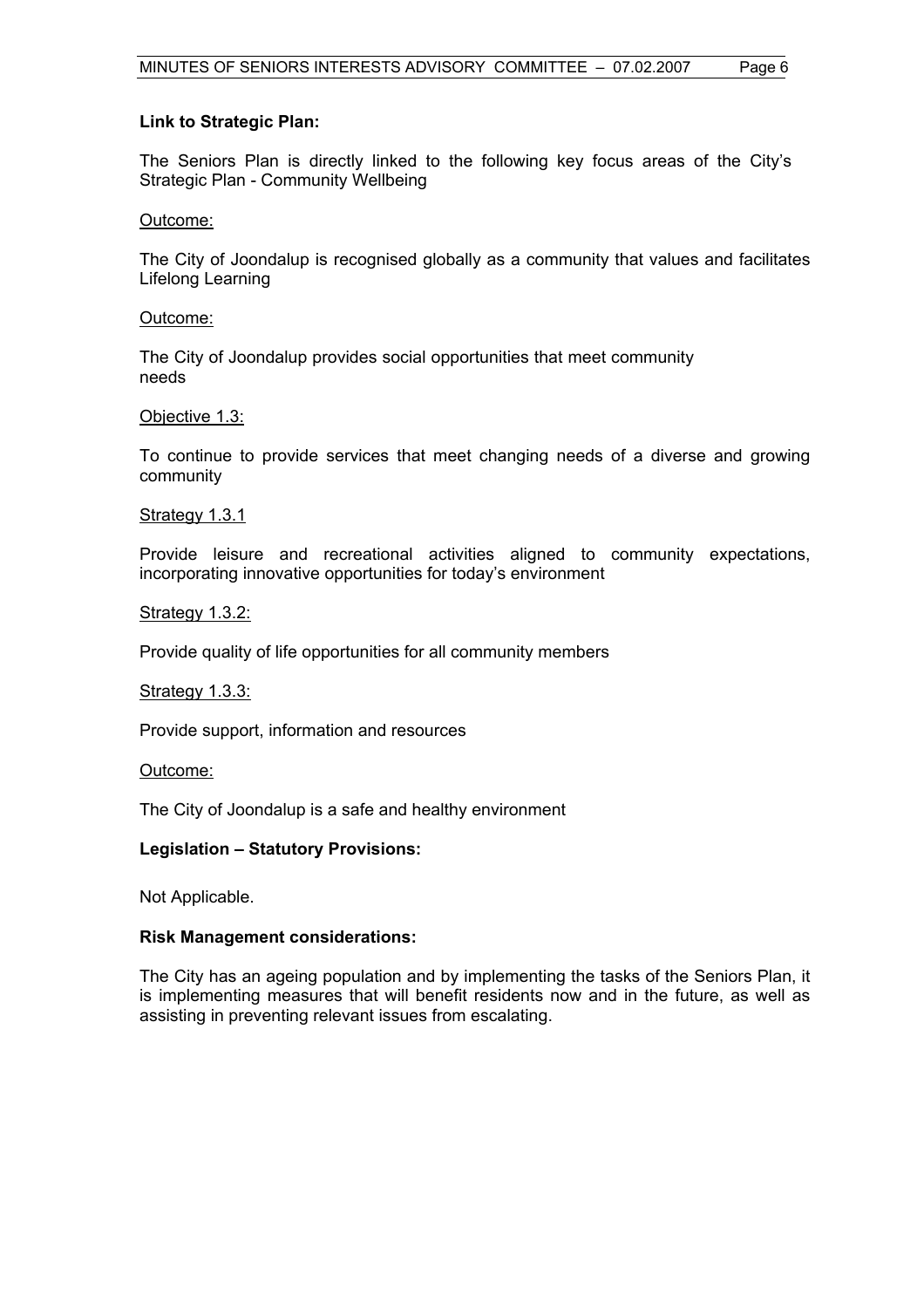## **Link to Strategic Plan:**

The Seniors Plan is directly linked to the following key focus areas of the City's Strategic Plan - Community Wellbeing

#### Outcome:

The City of Joondalup is recognised globally as a community that values and facilitates Lifelong Learning

#### Outcome:

The City of Joondalup provides social opportunities that meet community needs

# Objective 1.3:

To continue to provide services that meet changing needs of a diverse and growing community

# Strategy 1.3.1

Provide leisure and recreational activities aligned to community expectations, incorporating innovative opportunities for today's environment

#### Strategy 1.3.2:

Provide quality of life opportunities for all community members

#### Strategy 1.3.3:

Provide support, information and resources

#### Outcome:

The City of Joondalup is a safe and healthy environment

# **Legislation – Statutory Provisions:**

Not Applicable.

#### **Risk Management considerations:**

The City has an ageing population and by implementing the tasks of the Seniors Plan, it is implementing measures that will benefit residents now and in the future, as well as assisting in preventing relevant issues from escalating.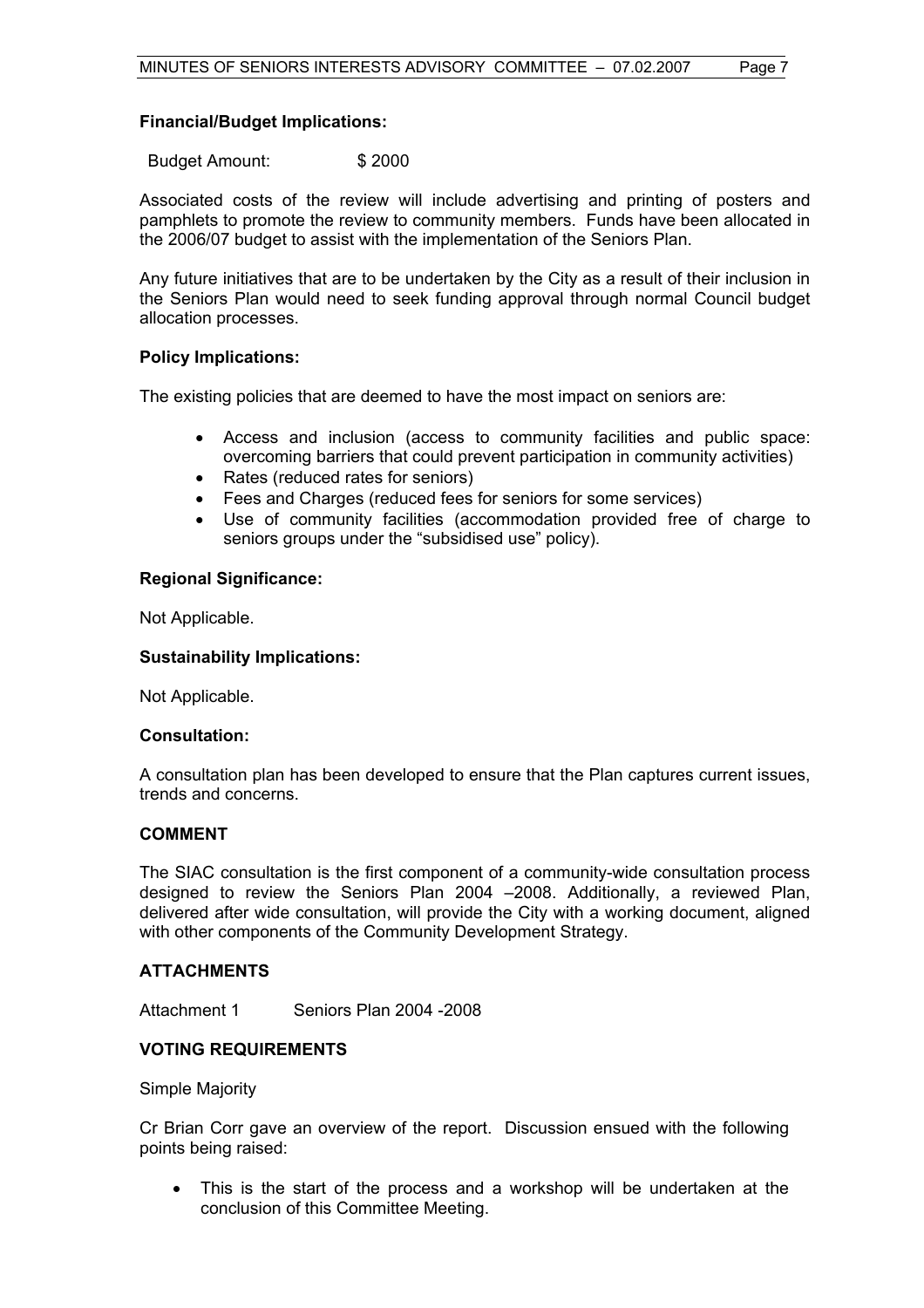#### **Financial/Budget Implications:**

Budget Amount: \$ 2000

Associated costs of the review will include advertising and printing of posters and pamphlets to promote the review to community members. Funds have been allocated in the 2006/07 budget to assist with the implementation of the Seniors Plan.

Any future initiatives that are to be undertaken by the City as a result of their inclusion in the Seniors Plan would need to seek funding approval through normal Council budget allocation processes.

#### **Policy Implications:**

The existing policies that are deemed to have the most impact on seniors are:

- Access and inclusion (access to community facilities and public space: overcoming barriers that could prevent participation in community activities)
- Rates (reduced rates for seniors)
- Fees and Charges (reduced fees for seniors for some services)
- Use of community facilities (accommodation provided free of charge to seniors groups under the "subsidised use" policy).

#### **Regional Significance:**

Not Applicable.

#### **Sustainability Implications:**

Not Applicable.

#### **Consultation:**

A consultation plan has been developed to ensure that the Plan captures current issues, trends and concerns.

#### **COMMENT**

The SIAC consultation is the first component of a community-wide consultation process designed to review the Seniors Plan 2004 –2008. Additionally, a reviewed Plan, delivered after wide consultation, will provide the City with a working document, aligned with other components of the Community Development Strategy.

#### **ATTACHMENTS**

Attachment 1 Seniors Plan 2004 -2008

#### **VOTING REQUIREMENTS**

Simple Majority

Cr Brian Corr gave an overview of the report. Discussion ensued with the following points being raised:

• This is the start of the process and a workshop will be undertaken at the conclusion of this Committee Meeting.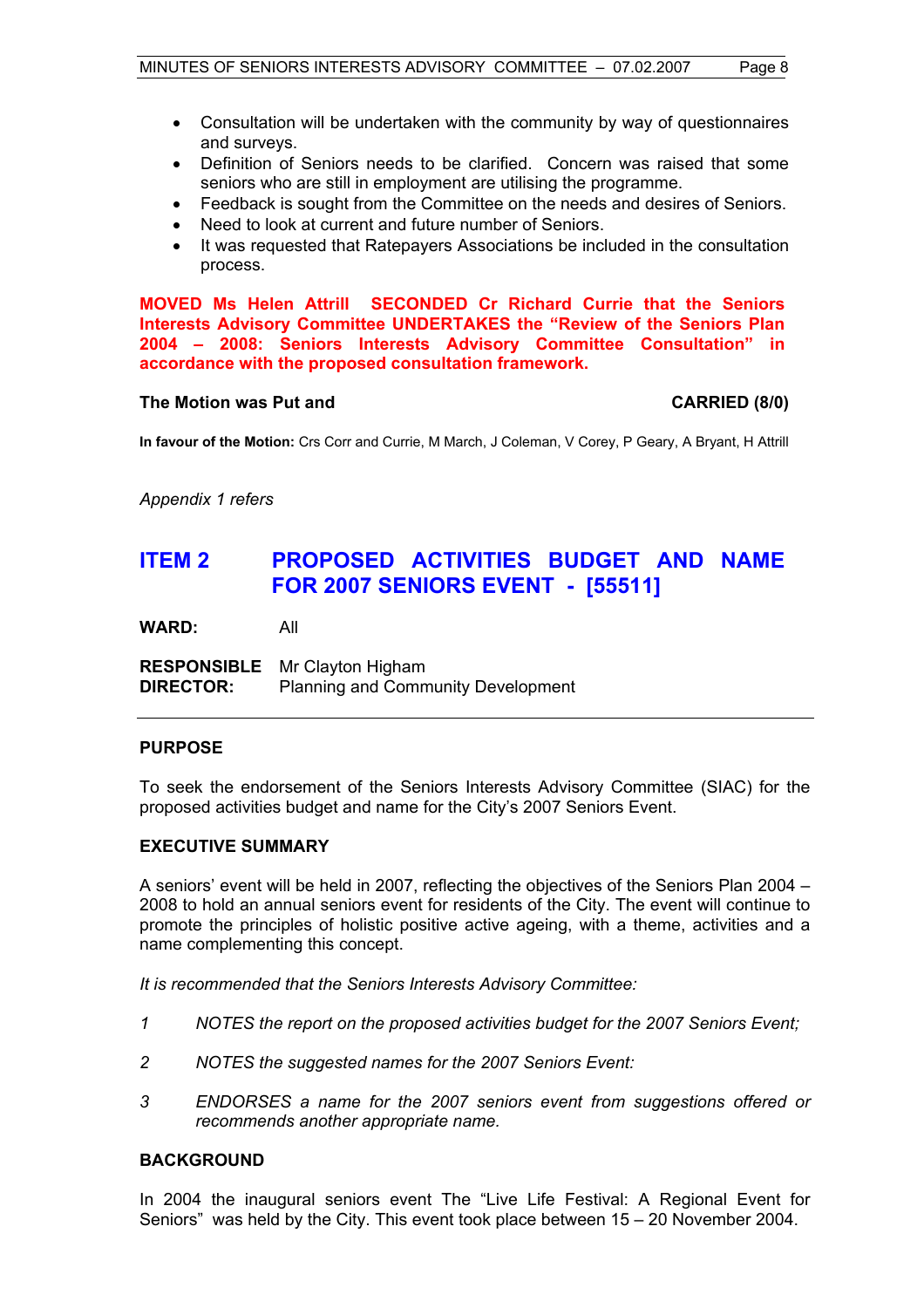- Definition of Seniors needs to be clarified. Concern was raised that some seniors who are still in employment are utilising the programme.
- Feedback is sought from the Committee on the needs and desires of Seniors.
- Need to look at current and future number of Seniors.
- It was requested that Ratepayers Associations be included in the consultation process.

**MOVED Ms Helen Attrill SECONDED Cr Richard Currie that the Seniors Interests Advisory Committee UNDERTAKES the "Review of the Seniors Plan 2004 – 2008: Seniors Interests Advisory Committee Consultation" in accordance with the proposed consultation framework.**

# The Motion was Put and **CARRIED** (8/0)

**In favour of the Motion:** Crs Corr and Currie, M March, J Coleman, V Corey, P Geary, A Bryant, H Attrill

*Appendix 1 refers* 

# **ITEM 2 PROPOSED ACTIVITIES BUDGET AND NAME FOR 2007 SENIORS EVENT - [55511]**

**WARD:** All

**RESPONSIBLE** Mr Clayton Higham **DIRECTOR:** Planning and Community Development

#### **PURPOSE**

To seek the endorsement of the Seniors Interests Advisory Committee (SIAC) for the proposed activities budget and name for the City's 2007 Seniors Event.

#### **EXECUTIVE SUMMARY**

A seniors' event will be held in 2007, reflecting the objectives of the Seniors Plan 2004 – 2008 to hold an annual seniors event for residents of the City. The event will continue to promote the principles of holistic positive active ageing, with a theme, activities and a name complementing this concept.

*It is recommended that the Seniors Interests Advisory Committee:* 

- *1 NOTES the report on the proposed activities budget for the 2007 Seniors Event;*
- *2 NOTES the suggested names for the 2007 Seniors Event:*
- *3 ENDORSES a name for the 2007 seniors event from suggestions offered or recommends another appropriate name.*

#### **BACKGROUND**

In 2004 the inaugural seniors event The "Live Life Festival: A Regional Event for Seniors" was held by the City. This event took place between 15 – 20 November 2004.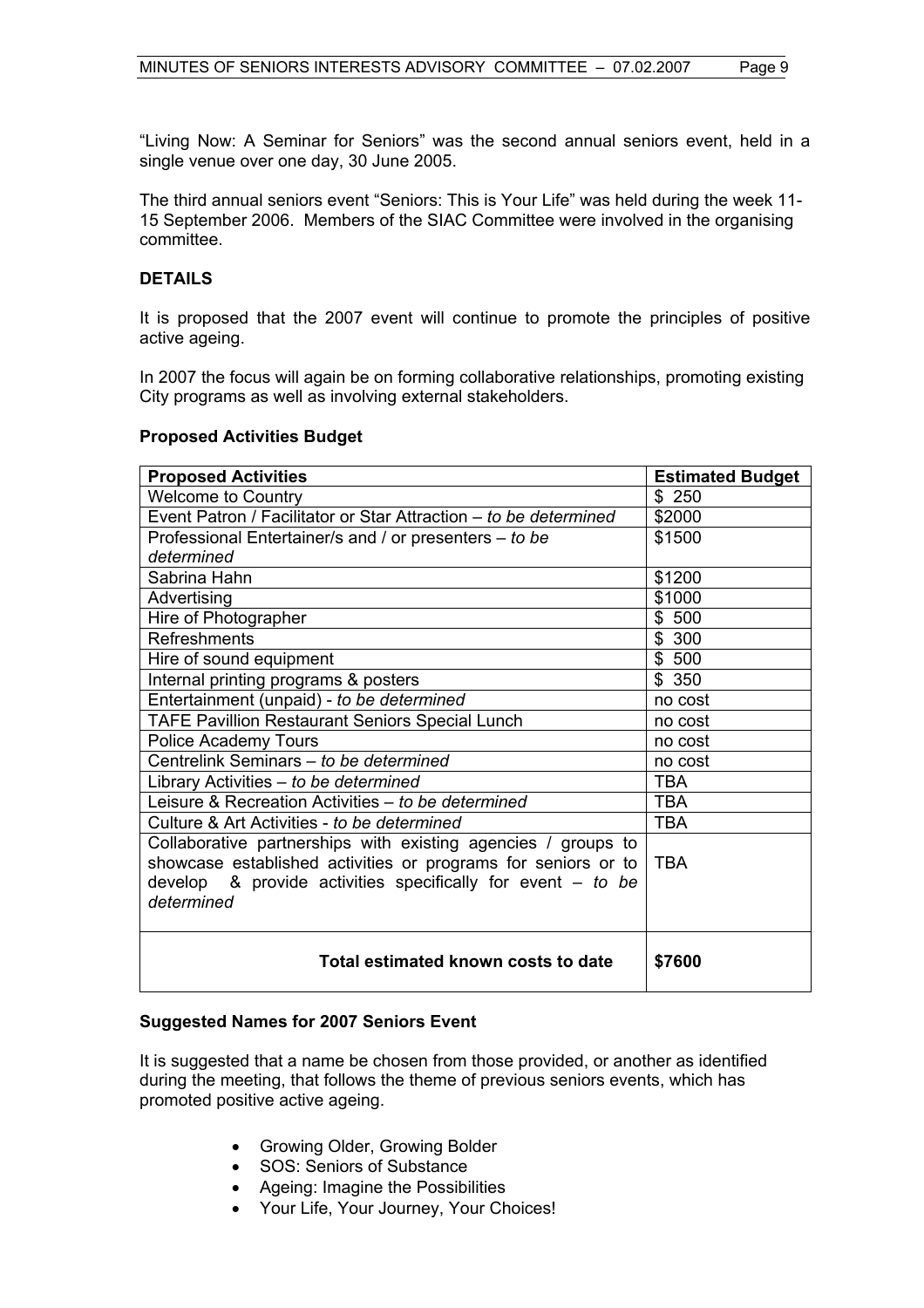"Living Now: A Seminar for Seniors" was the second annual seniors event, held in a single venue over one day, 30 June 2005.

The third annual seniors event "Seniors: This is Your Life" was held during the week 11- 15 September 2006.Members of the SIAC Committee were involved in the organising committee.

## **DETAILS**

It is proposed that the 2007 event will continue to promote the principles of positive active ageing.

In 2007 the focus will again be on forming collaborative relationships, promoting existing City programs as well as involving external stakeholders.

#### **Proposed Activities Budget**

| <b>Proposed Activities</b>                                       | <b>Estimated Budget</b> |
|------------------------------------------------------------------|-------------------------|
| <b>Welcome to Country</b>                                        | \$250                   |
| Event Patron / Facilitator or Star Attraction - to be determined | \$2000                  |
| Professional Entertainer/s and / or presenters - to be           | \$1500                  |
| determined                                                       |                         |
| Sabrina Hahn                                                     | \$1200                  |
| Advertising                                                      | \$1000                  |
| Hire of Photographer                                             | \$500                   |
| Refreshments                                                     | \$ 300                  |
| Hire of sound equipment                                          | \$500                   |
| Internal printing programs & posters                             | \$350                   |
| Entertainment (unpaid) - to be determined                        | no cost                 |
| <b>TAFE Pavillion Restaurant Seniors Special Lunch</b>           | no cost                 |
| Police Academy Tours                                             | no cost                 |
| Centrelink Seminars - to be determined                           | no cost                 |
| Library Activities - to be determined                            | <b>TBA</b>              |
| Leisure & Recreation Activities - to be determined               | <b>TBA</b>              |
| Culture & Art Activities - to be determined                      | <b>TBA</b>              |
| Collaborative partnerships with existing agencies / groups to    |                         |
| showcase established activities or programs for seniors or to    | <b>TBA</b>              |
| develop $\&$ provide activities specifically for event – to be   |                         |
| determined                                                       |                         |
|                                                                  |                         |
| Total estimated known costs to date                              | \$7600                  |

#### **Suggested Names for 2007 Seniors Event**

It is suggested that a name be chosen from those provided, or another as identified during the meeting, that follows the theme of previous seniors events, which has promoted positive active ageing.

- Growing Older, Growing Bolder
- SOS: Seniors of Substance
- Ageing: Imagine the Possibilities
- Your Life, Your Journey, Your Choices!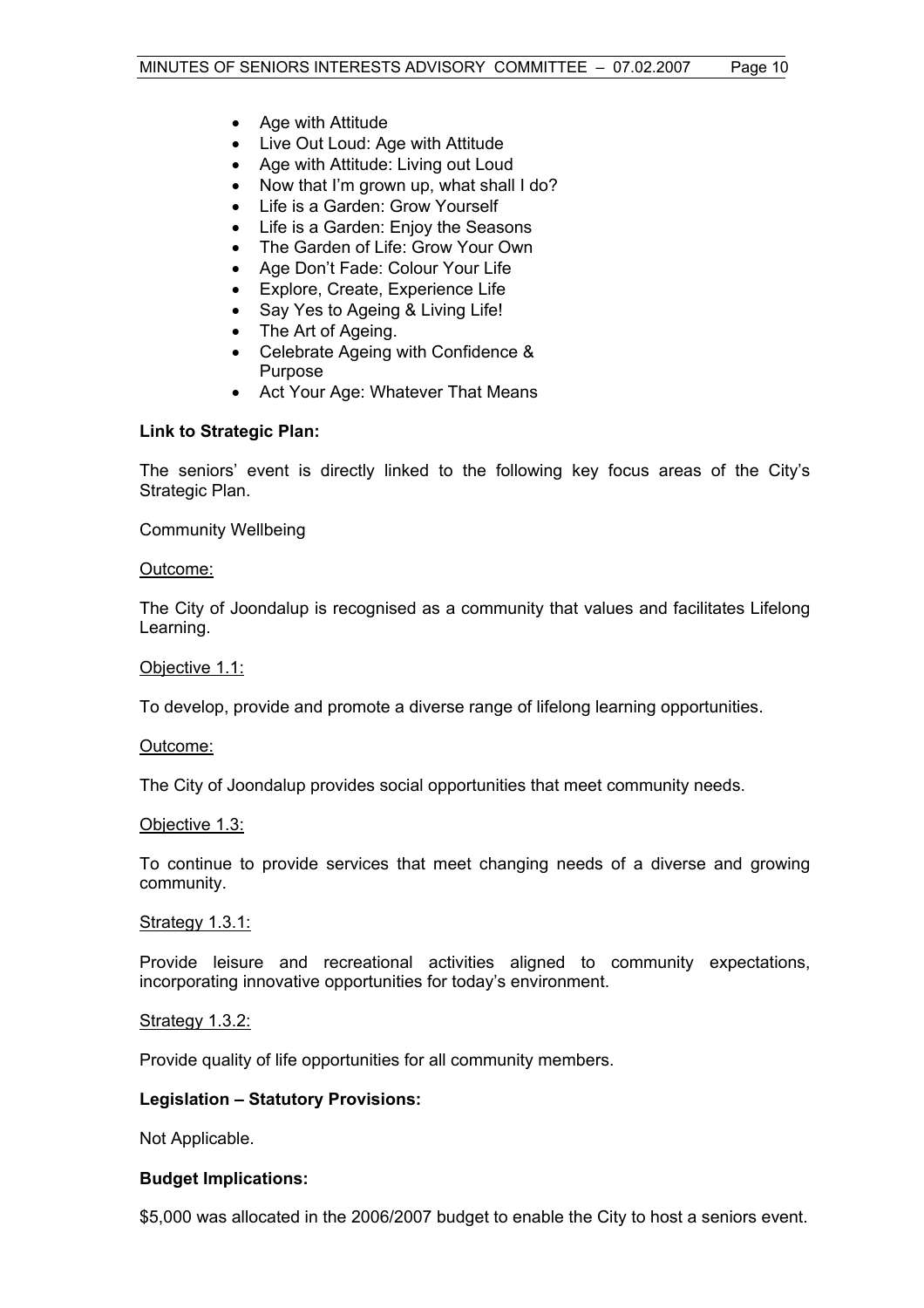- Age with Attitude
- Live Out Loud: Age with Attitude
- Age with Attitude: Living out Loud
- Now that I'm grown up, what shall I do?
- Life is a Garden: Grow Yourself
- Life is a Garden: Enjoy the Seasons
- The Garden of Life: Grow Your Own
- Age Don't Fade: Colour Your Life
- Explore, Create, Experience Life
- Say Yes to Ageing & Living Life!
- The Art of Ageing.
- Celebrate Ageing with Confidence & Purpose
- Act Your Age: Whatever That Means

## **Link to Strategic Plan:**

The seniors' event is directly linked to the following key focus areas of the City's Strategic Plan.

Community Wellbeing

#### Outcome:

The City of Joondalup is recognised as a community that values and facilitates Lifelong Learning.

#### Objective 1.1:

To develop, provide and promote a diverse range of lifelong learning opportunities.

#### Outcome:

The City of Joondalup provides social opportunities that meet community needs.

#### Objective 1.3:

To continue to provide services that meet changing needs of a diverse and growing community.

#### Strategy 1.3.1:

Provide leisure and recreational activities aligned to community expectations, incorporating innovative opportunities for today's environment.

#### Strategy 1.3.2:

Provide quality of life opportunities for all community members.

#### **Legislation – Statutory Provisions:**

Not Applicable.

#### **Budget Implications:**

\$5,000 was allocated in the 2006/2007 budget to enable the City to host a seniors event.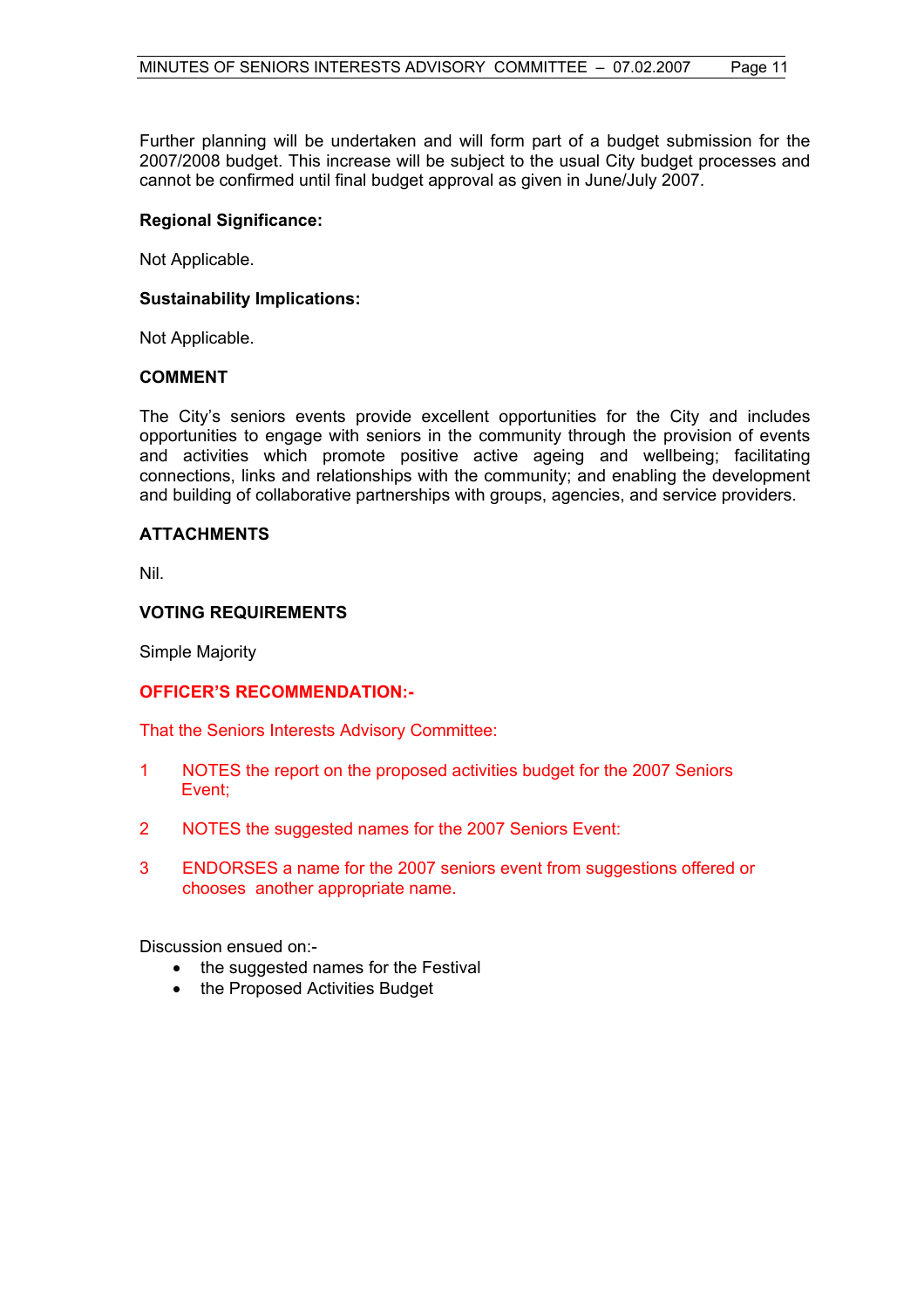Further planning will be undertaken and will form part of a budget submission for the 2007/2008 budget. This increase will be subject to the usual City budget processes and cannot be confirmed until final budget approval as given in June/July 2007.

#### **Regional Significance:**

Not Applicable.

# **Sustainability Implications:**

Not Applicable.

# **COMMENT**

The City's seniors events provide excellent opportunities for the City and includes opportunities to engage with seniors in the community through the provision of events and activities which promote positive active ageing and wellbeing; facilitating connections, links and relationships with the community; and enabling the development and building of collaborative partnerships with groups, agencies, and service providers.

# **ATTACHMENTS**

Nil.

# **VOTING REQUIREMENTS**

Simple Majority

# **OFFICER'S RECOMMENDATION:-**

That the Seniors Interests Advisory Committee:

- 1 NOTES the report on the proposed activities budget for the 2007 Seniors Event;
- 2 NOTES the suggested names for the 2007 Seniors Event:
- 3 ENDORSES a name for the 2007 seniors event from suggestions offered or chooses another appropriate name.

Discussion ensued on:-

- the suggested names for the Festival
- the Proposed Activities Budget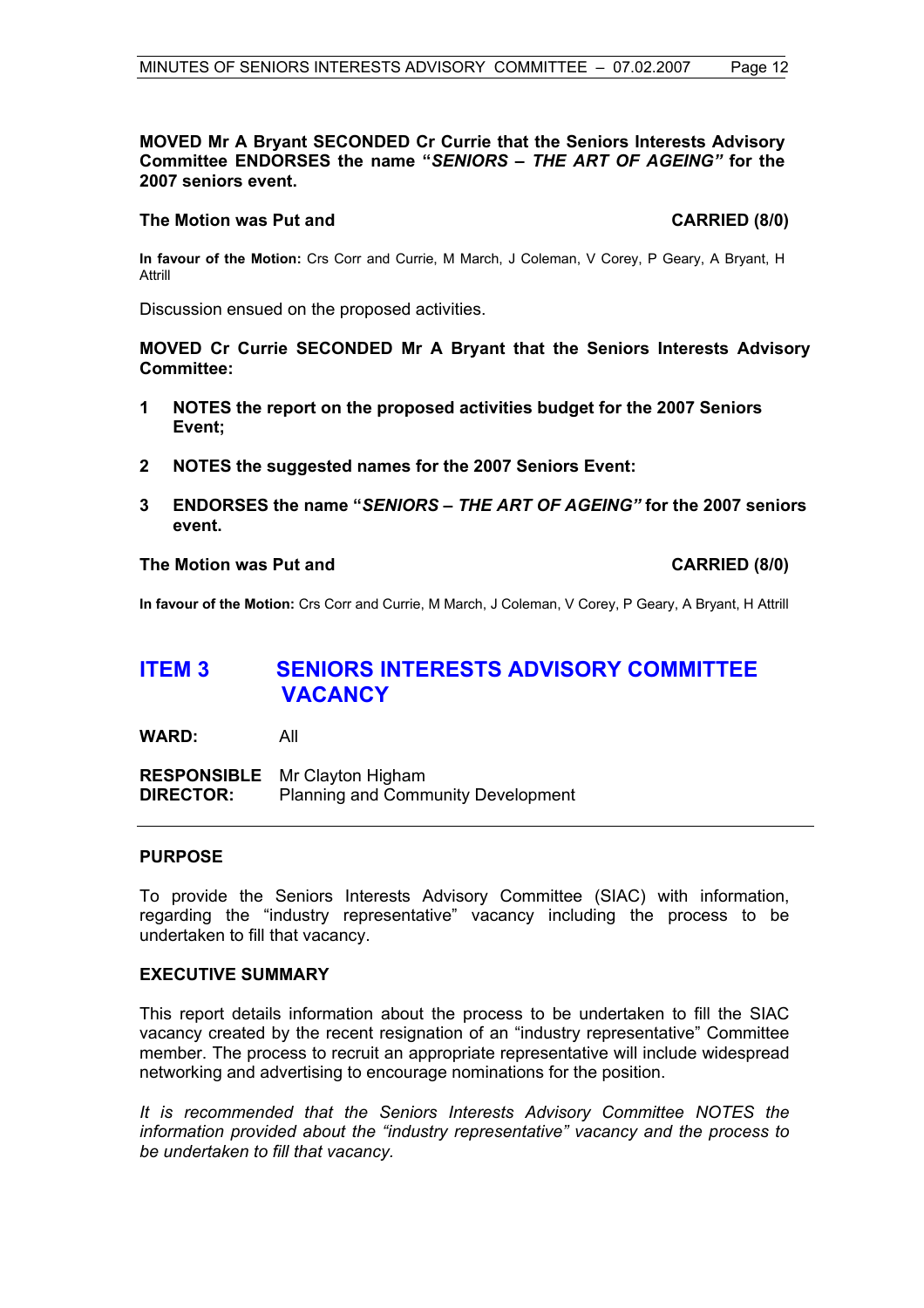#### **MOVED Mr A Bryant SECONDED Cr Currie that the Seniors Interests Advisory Committee ENDORSES the name "***SENIORS – THE ART OF AGEING"* **for the 2007 seniors event.**

#### The Motion was Put and **CARRIED** (8/0)

**In favour of the Motion:** Crs Corr and Currie, M March, J Coleman, V Corey, P Geary, A Bryant, H Attrill

Discussion ensued on the proposed activities.

**MOVED Cr Currie SECONDED Mr A Bryant that the Seniors Interests Advisory Committee:** 

- **1 NOTES the report on the proposed activities budget for the 2007 Seniors Event;**
- **2 NOTES the suggested names for the 2007 Seniors Event:**
- **3 ENDORSES the name "***SENIORS THE ART OF AGEING"* **for the 2007 seniors event.**

# The Motion was Put and **CARRIED** (8/0)

**In favour of the Motion:** Crs Corr and Currie, M March, J Coleman, V Corey, P Geary, A Bryant, H Attrill

# **ITEM 3 SENIORS INTERESTS ADVISORY COMMITTEE VACANCY**

**WARD:** All

**RESPONSIBLE** Mr Clayton Higham **DIRECTOR:** Planning and Community Development

#### **PURPOSE**

To provide the Seniors Interests Advisory Committee (SIAC) with information, regarding the "industry representative" vacancy including the process to be undertaken to fill that vacancy.

#### **EXECUTIVE SUMMARY**

This report details information about the process to be undertaken to fill the SIAC vacancy created by the recent resignation of an "industry representative" Committee member. The process to recruit an appropriate representative will include widespread networking and advertising to encourage nominations for the position.

*It is recommended that the Seniors Interests Advisory Committee NOTES the information provided about the "industry representative" vacancy and the process to be undertaken to fill that vacancy.*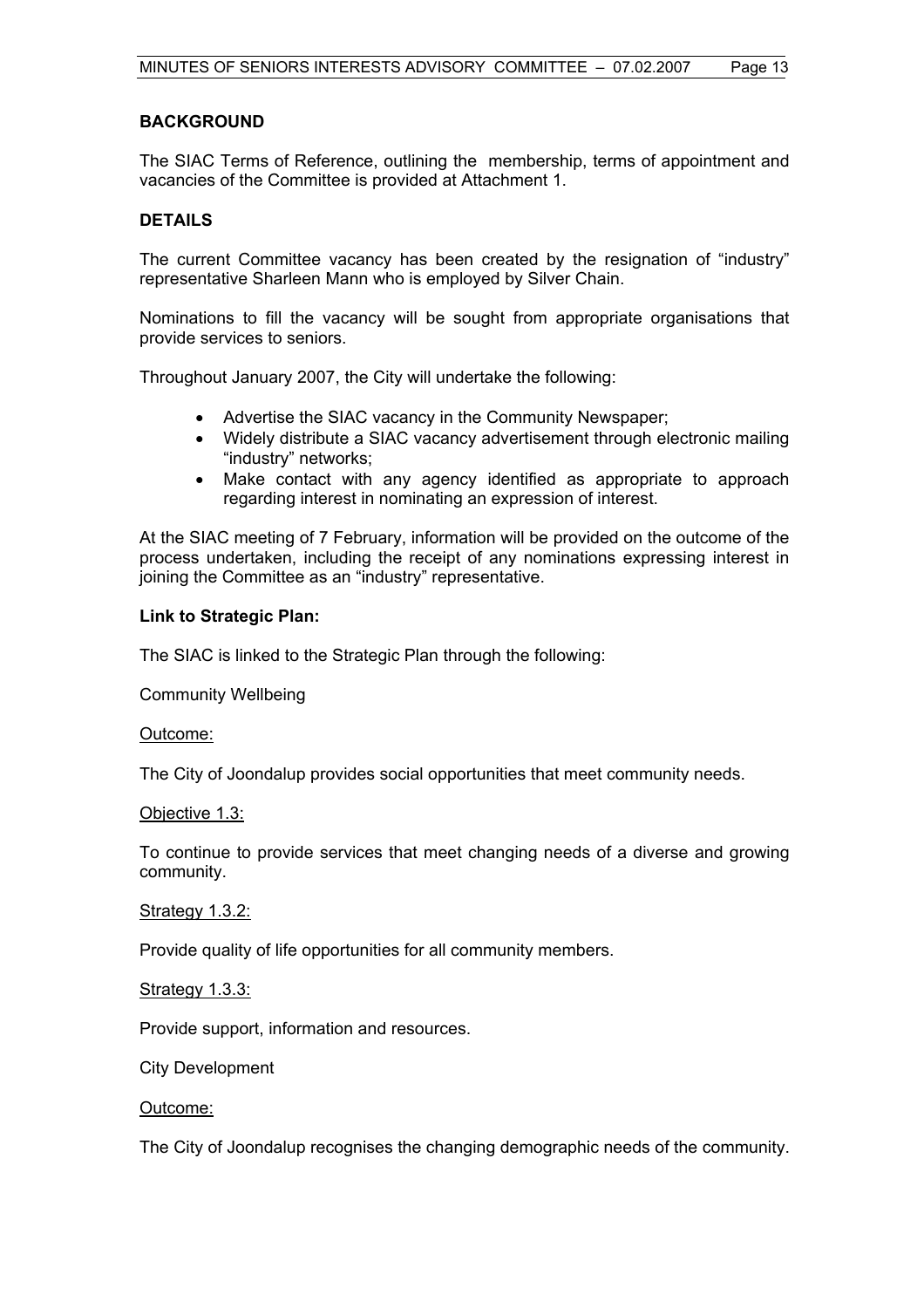## **BACKGROUND**

The SIAC Terms of Reference, outlining the membership, terms of appointment and vacancies of the Committee is provided at Attachment 1.

# **DETAILS**

The current Committee vacancy has been created by the resignation of "industry" representative Sharleen Mann who is employed by Silver Chain.

Nominations to fill the vacancy will be sought from appropriate organisations that provide services to seniors.

Throughout January 2007, the City will undertake the following:

- Advertise the SIAC vacancy in the Community Newspaper;
- Widely distribute a SIAC vacancy advertisement through electronic mailing "industry" networks;
- Make contact with any agency identified as appropriate to approach regarding interest in nominating an expression of interest.

At the SIAC meeting of 7 February, information will be provided on the outcome of the process undertaken, including the receipt of any nominations expressing interest in joining the Committee as an "industry" representative.

#### **Link to Strategic Plan:**

The SIAC is linked to the Strategic Plan through the following:

Community Wellbeing

#### Outcome:

The City of Joondalup provides social opportunities that meet community needs.

#### Objective 1.3:

To continue to provide services that meet changing needs of a diverse and growing community.

#### Strategy 1.3.2:

Provide quality of life opportunities for all community members.

#### Strategy 1.3.3:

Provide support, information and resources.

# City Development

#### Outcome:

The City of Joondalup recognises the changing demographic needs of the community.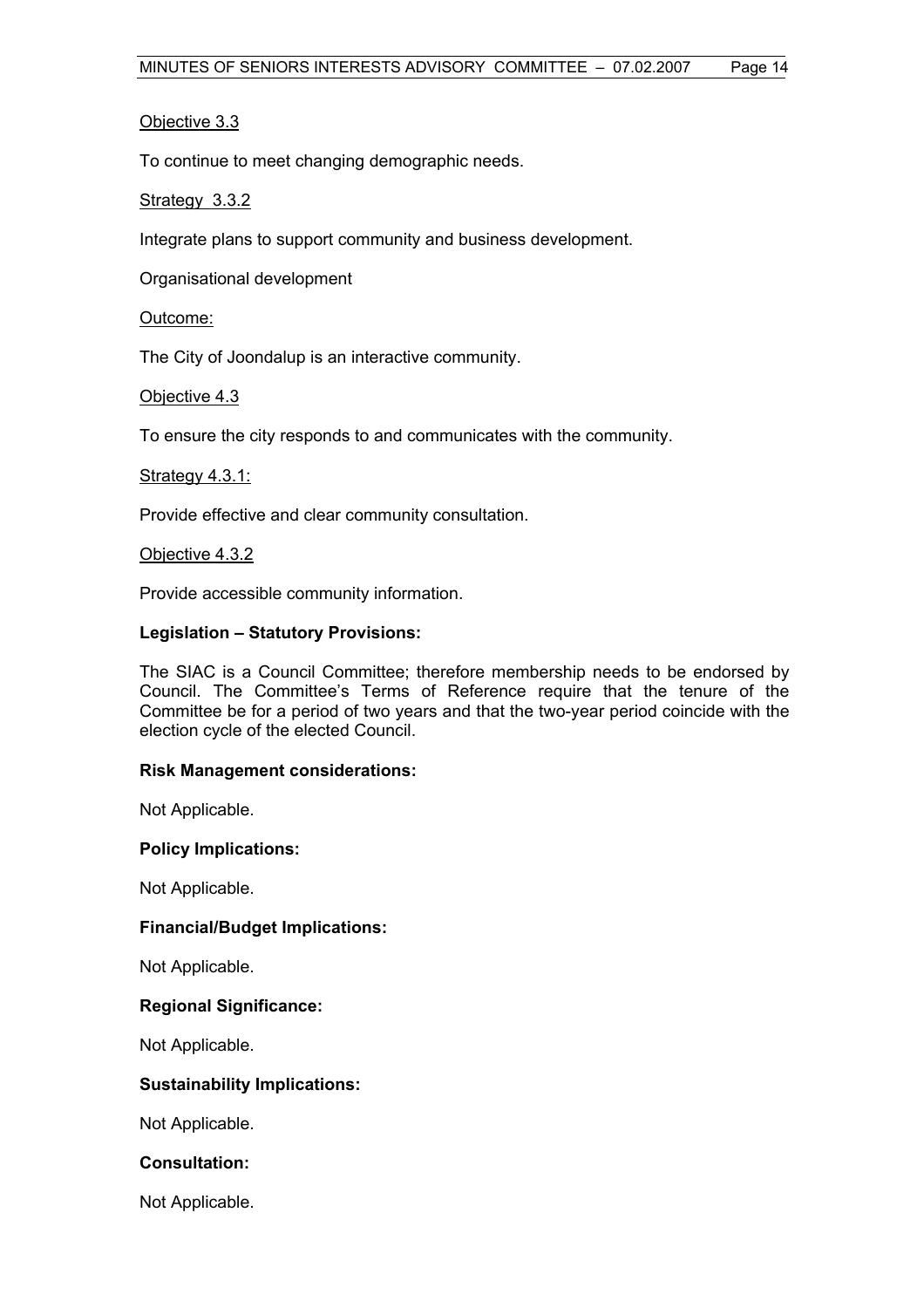# Objective 3.3

To continue to meet changing demographic needs.

# Strategy 3.3.2

Integrate plans to support community and business development.

Organisational development

# Outcome:

The City of Joondalup is an interactive community.

# Objective 4.3

To ensure the city responds to and communicates with the community.

# Strategy 4.3.1:

Provide effective and clear community consultation.

# Objective 4.3.2

Provide accessible community information.

# **Legislation – Statutory Provisions:**

The SIAC is a Council Committee; therefore membership needs to be endorsed by Council. The Committee's Terms of Reference require that the tenure of the Committee be for a period of two years and that the two-year period coincide with the election cycle of the elected Council.

# **Risk Management considerations:**

Not Applicable.

# **Policy Implications:**

Not Applicable.

# **Financial/Budget Implications:**

Not Applicable.

# **Regional Significance:**

Not Applicable.

# **Sustainability Implications:**

Not Applicable.

# **Consultation:**

Not Applicable.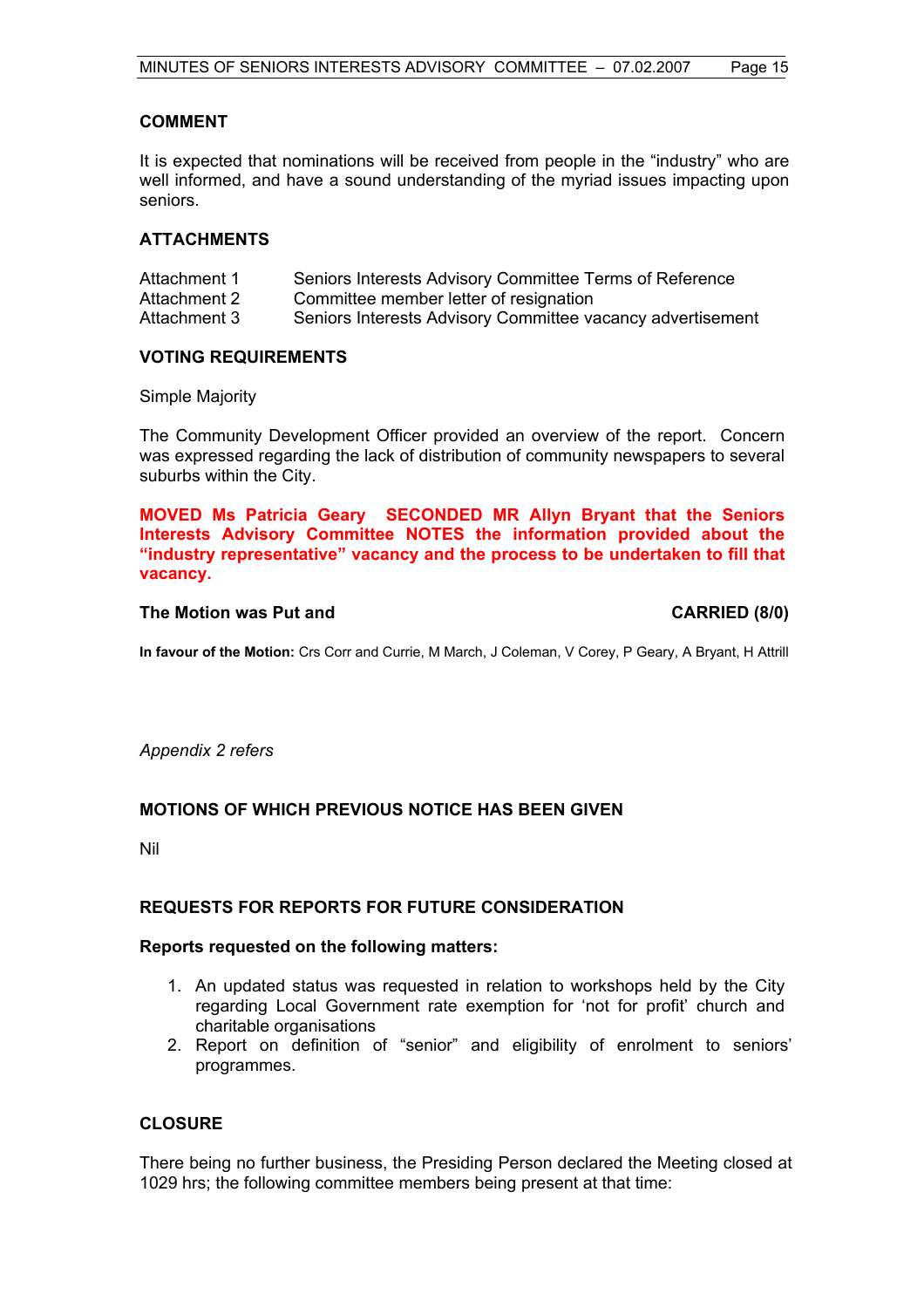# **COMMENT**

It is expected that nominations will be received from people in the "industry" who are well informed, and have a sound understanding of the myriad issues impacting upon seniors.

## **ATTACHMENTS**

| Attachment 1 | Seniors Interests Advisory Committee Terms of Reference    |
|--------------|------------------------------------------------------------|
| Attachment 2 | Committee member letter of resignation                     |
| Attachment 3 | Seniors Interests Advisory Committee vacancy advertisement |

#### **VOTING REQUIREMENTS**

Simple Majority

The Community Development Officer provided an overview of the report. Concern was expressed regarding the lack of distribution of community newspapers to several suburbs within the City.

**MOVED Ms Patricia Geary SECONDED MR Allyn Bryant that the Seniors Interests Advisory Committee NOTES the information provided about the "industry representative" vacancy and the process to be undertaken to fill that vacancy.**

#### The Motion was Put and **CARRIED** (8/0)

**In favour of the Motion:** Crs Corr and Currie, M March, J Coleman, V Corey, P Geary, A Bryant, H Attrill

*Appendix 2 refers* 

# **MOTIONS OF WHICH PREVIOUS NOTICE HAS BEEN GIVEN**

Nil

# **REQUESTS FOR REPORTS FOR FUTURE CONSIDERATION**

#### **Reports requested on the following matters:**

- 1. An updated status was requested in relation to workshops held by the City regarding Local Government rate exemption for 'not for profit' church and charitable organisations
- 2. Report on definition of "senior" and eligibility of enrolment to seniors' programmes.

# **CLOSURE**

There being no further business, the Presiding Person declared the Meeting closed at 1029 hrs; the following committee members being present at that time: